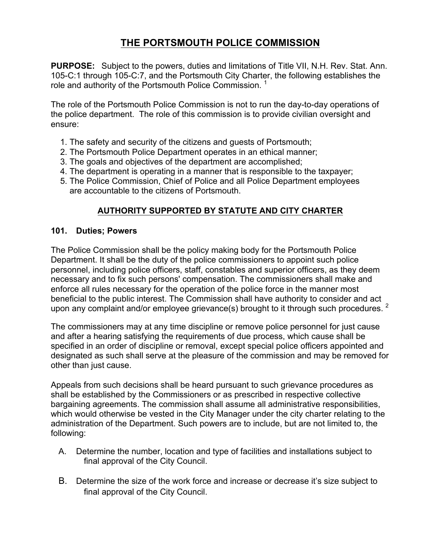# **THE PORTSMOUTH POLICE COMMISSION**

**PURPOSE:** Subject to the powers, duties and limitations of Title VII, N.H. Rev. Stat. Ann. 105-C:1 through 105-C:7, and the Portsmouth City Charter, the following establishes the role and authority of the Portsmouth Police Commission.<sup>1</sup>

The role of the Portsmouth Police Commission is not to run the day-to-day operations of the police department. The role of this commission is to provide civilian oversight and ensure:

- 1. The safety and security of the citizens and guests of Portsmouth;
- 2. The Portsmouth Police Department operates in an ethical manner;
- 3. The goals and objectives of the department are accomplished;
- 4. The department is operating in a manner that is responsible to the taxpayer;
- 5. The Police Commission, Chief of Police and all Police Department employees are accountable to the citizens of Portsmouth.

## **AUTHORITY SUPPORTED BY STATUTE AND CITY CHARTER**

#### **101. Duties; Powers**

The Police Commission shall be the policy making body for the Portsmouth Police Department. It shall be the duty of the police commissioners to appoint such police personnel, including police officers, staff, constables and superior officers, as they deem necessary and to fix such persons' compensation. The commissioners shall make and enforce all rules necessary for the operation of the police force in the manner most beneficial to the public interest. The Commission shall have authority to consider and act upon any complaint and/or employee grievance(s) brought to it through such procedures.  $2$ 

The commissioners may at any time discipline or remove police personnel for just cause and after a hearing satisfying the requirements of due process, which cause shall be specified in an order of discipline or removal, except special police officers appointed and designated as such shall serve at the pleasure of the commission and may be removed for other than just cause.

Appeals from such decisions shall be heard pursuant to such grievance procedures as shall be established by the Commissioners or as prescribed in respective collective bargaining agreements. The commission shall assume all administrative responsibilities, which would otherwise be vested in the City Manager under the city charter relating to the administration of the Department. Such powers are to include, but are not limited to, the following:

- A. Determine the number, location and type of facilities and installations subject to final approval of the City Council.
- B. Determine the size of the work force and increase or decrease it's size subject to final approval of the City Council.